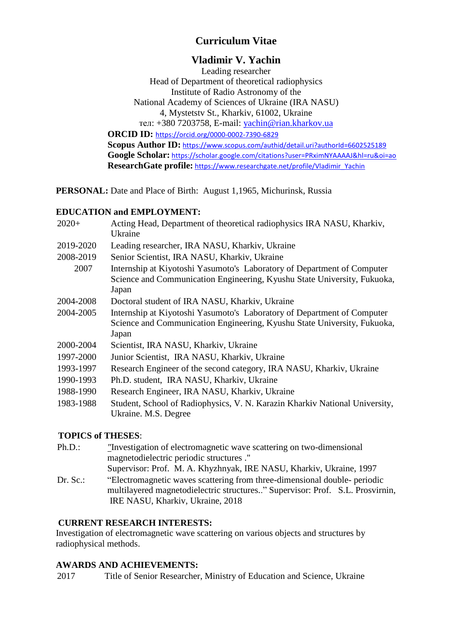# **Curriculum Vitae**

## **Vladimir V. Yachin**

Leading researcher Head of Department of theoretical radiophysics Institute of Radio Astronomy of the National Academy of Sciences of Ukraine (IRA NASU) 4, Mystetstv St., Kharkiv, 61002, Ukraine тел: +380 7203758, E-mail: [yachin@rian.kharkov.ua](mailto:yachin@rian.kharkov.ua)

**ORCID ID:** [https://orcid.org/0000-0002-7390-6829](https://orcid.org/0000-0002-7390-6829?lang=en)

Scopus Author ID: <https://www.scopus.com/authid/detail.uri?authorId=6602525189> **Google Scholar:** <https://scholar.google.com/citations?user=PRximNYAAAAJ&hl=ru&oi=ao> **ResearchGate profile:** [https://www.researchgate.net/profile/Vladimir\\_Yachin](https://www.researchgate.net/profile/Vladimir_Yachin)

**PERSONAL:** Date and Place of Birth: August 1,1965, Michurinsk, Russia

## **EDUCATION and EMPLOYMENT:**

| $2020+$   | Acting Head, Department of theoretical radiophysics IRA NASU, Kharkiv,<br>Ukraine                                                                            |
|-----------|--------------------------------------------------------------------------------------------------------------------------------------------------------------|
| 2019-2020 | Leading researcher, IRA NASU, Kharkiv, Ukraine                                                                                                               |
| 2008-2019 | Senior Scientist, IRA NASU, Kharkiv, Ukraine                                                                                                                 |
| 2007      | Internship at Kiyotoshi Yasumoto's Laboratory of Department of Computer<br>Science and Communication Engineering, Kyushu State University, Fukuoka,<br>Japan |
| 2004-2008 | Doctoral student of IRA NASU, Kharkiv, Ukraine                                                                                                               |
| 2004-2005 | Internship at Kiyotoshi Yasumoto's Laboratory of Department of Computer<br>Science and Communication Engineering, Kyushu State University, Fukuoka,<br>Japan |
| 2000-2004 | Scientist, IRA NASU, Kharkiv, Ukraine                                                                                                                        |
| 1997-2000 | Junior Scientist, IRA NASU, Kharkiv, Ukraine                                                                                                                 |
| 1993-1997 | Research Engineer of the second category, IRA NASU, Kharkiv, Ukraine                                                                                         |
| 1990-1993 | Ph.D. student, IRA NASU, Kharkiv, Ukraine                                                                                                                    |
| 1988-1990 | Research Engineer, IRA NASU, Kharkiv, Ukraine                                                                                                                |
| 1983-1988 | Student, School of Radiophysics, V. N. Karazin Kharkiv National University,<br>Ukraine. M.S. Degree                                                          |

## **TOPICS of THESES**:

| $Ph.D.$ : | "Investigation of electromagnetic wave scattering on two-dimensional                                                                                                                           |
|-----------|------------------------------------------------------------------------------------------------------------------------------------------------------------------------------------------------|
|           | magnetodielectric periodic structures."                                                                                                                                                        |
|           | Supervisor: Prof. M. A. Khyzhnyak, IRE NASU, Kharkiv, Ukraine, 1997                                                                                                                            |
| Dr. Sc.   | "Electromagnetic waves scattering from three-dimensional double- periodic<br>multilayered magnetodielectric structures" Supervisor: Prof. S.L. Prosvirnin,<br>IRE NASU, Kharkiv, Ukraine, 2018 |

#### **CURRENT RESEARCH INTERESTS:**

Investigation of electromagnetic wave scattering on various objects and structures by radiophysical methods.

## **AWARDS AND ACHIEVEMENTS:**

2017 Title of Senior Researcher, Ministry of Education and Science, Ukraine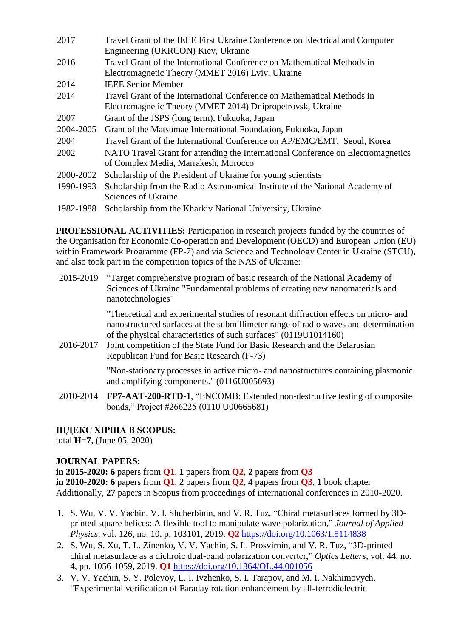| 2017      | Travel Grant of the IEEE First Ukraine Conference on Electrical and Computer     |
|-----------|----------------------------------------------------------------------------------|
|           | Engineering (UKRCON) Kiev, Ukraine                                               |
| 2016      | Travel Grant of the International Conference on Mathematical Methods in          |
|           | Electromagnetic Theory (MMET 2016) Lviv, Ukraine                                 |
| 2014      | <b>IEEE Senior Member</b>                                                        |
| 2014      | Travel Grant of the International Conference on Mathematical Methods in          |
|           | Electromagnetic Theory (MMET 2014) Dnipropetrovsk, Ukraine                       |
| 2007      | Grant of the JSPS (long term), Fukuoka, Japan                                    |
| 2004-2005 | Grant of the Matsumae International Foundation, Fukuoka, Japan                   |
| 2004      | Travel Grant of the International Conference on AP/EMC/EMT, Seoul, Korea         |
| 2002      | NATO Travel Grant for attending the International Conference on Electromagnetics |
|           | of Complex Media, Marrakesh, Morocco                                             |
| 2000-2002 | Scholarship of the President of Ukraine for young scientists                     |
| 1990-1993 | Scholarship from the Radio Astronomical Institute of the National Academy of     |
|           | Sciences of Ukraine                                                              |
| 1982-1988 | Scholarship from the Kharkiv National University, Ukraine                        |

**PROFESSIONAL ACTIVITIES:** Participation in research projects funded by the countries of the Organisation for Economic Co-operation and Development (OECD) and European Union (EU) within Framework Programme (FP-7) and via Science and Technology Center in Ukraine (STCU), and also took part in the competition topics of the NAS of Ukraine:

2015-2019 "Target comprehensive program of basic research of the National Academy of Sciences of Ukraine "Fundamental problems of creating new nanomaterials and nanotechnologies"

> "Theoretical and experimental studies of resonant diffraction effects on micro- and nanostructured surfaces at the submillimeter range of radio waves and determination of the physical characteristics of such surfaces" (0119U1014160)

2016-2017 Joint competition of the State Fund for Basic Research and the Belarusian Republican Fund for Basic Research (F-73)

> "Non-stationary processes in active micro- and nanostructures containing plasmonic and amplifying components." (0116U005693)

2010-2014 **FP7-AAT-200-RTD-1**, "ENCOMB: Extended non-destructive testing of composite bonds," Project #266225 (0110 U00665681)

#### **ІНДЕКС ХІРША В SCOPUS:**

total **H=7**, (June 05, 2020)

#### **JOURNAL PAPERS:**

**in 2015-2020: 6** papers from **Q1**, **1** papers from **Q2**, **2** papers from **Q3 in 2010-2020: 6** papers from **Q1**, **2** papers from **Q2**, **4** papers from **Q3**, **1** book chapter Additionally, **27** papers in Scopus from proceedings of international conferences in 2010-2020.

- 1. S. Wu, V. V. Yachin, V. I. Shcherbinin, and V. R. Tuz, "Chiral metasurfaces formed by 3Dprinted square helices: A flexible tool to manipulate wave polarization," *Journal of Applied Physics*, vol. 126, no. 10, p. 103101, 2019. **Q2** <https://doi.org/10.1063/1.5114838>
- 2. S. Wu, S. Xu, T. L. Zinenko, V. V. Yachin, S. L. Prosvirnin, and V. R. Tuz, "3D-printed chiral metasurface as a dichroic dual-band polarization converter," *Optics Letters*, vol. 44, no. 4, pp. 1056-1059, 2019. **Q1** <https://doi.org/10.1364/OL.44.001056>
- 3. V. V. Yachin, S. Y. Polevoy, L. I. Ivzhenko, S. I. Tarapov, and M. I. Nakhimovych, "Experimental verification of Faraday rotation enhancement by all-ferrodielectric